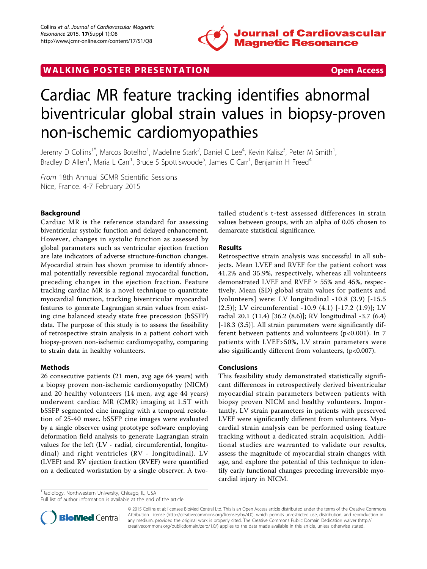

WALKING POSTER PRESENTATION **SECURE 20 YO FOR ACCESS** 

# Cardiac MR feature tracking identifies abnormal biventricular global strain values in biopsy-proven non-ischemic cardiomyopathies

Jeremy D Collins<sup>1\*</sup>, Marcos Botelho<sup>1</sup>, Madeline Stark<sup>2</sup>, Daniel C Lee<sup>4</sup>, Kevin Kalisz<sup>3</sup>, Peter M Smith<sup>1</sup> , Bradley D Allen<sup>1</sup>, Maria L Carr<sup>1</sup>, Bruce S Spottiswoode<sup>5</sup>, James C Carr<sup>1</sup>, Benjamin H Freed<sup>4</sup>

From 18th Annual SCMR Scientific Sessions Nice, France. 4-7 February 2015

# Background

Cardiac MR is the reference standard for assessing biventricular systolic function and delayed enhancement. However, changes in systolic function as assessed by global parameters such as ventricular ejection fraction are late indicators of adverse structure-function changes. Myocardial strain has shown promise to identify abnormal potentially reversible regional myocardial function, preceding changes in the ejection fraction. Feature tracking cardiac MR is a novel technique to quantitate myocardial function, tracking biventricular myocardial features to generate Lagrangian strain values from existing cine balanced steady state free precession (bSSFP) data. The purpose of this study is to assess the feasibility of retrospective strain analysis in a patient cohort with biopsy-proven non-ischemic cardiomyopathy, comparing to strain data in healthy volunteers.

## Methods

26 consecutive patients (21 men, avg age 64 years) with a biopsy proven non-ischemic cardiomyopathy (NICM) and 20 healthy volunteers (14 men, avg age 44 years) underwent cardiac MR (CMR) imaging at 1.5T with bSSFP segmented cine imaging with a temporal resolution of 25-40 msec. bSSFP cine images were evaluated by a single observer using prototype software employing deformation field analysis to generate Lagrangian strain values for the left (LV - radial, circumferential, longitudinal) and right ventricles (RV - longitudinal). LV (LVEF) and RV ejection fraction (RVEF) were quantified on a dedicated workstation by a single observer. A twotailed student's t-test assessed differences in strain values between groups, with an alpha of 0.05 chosen to demarcate statistical significance.

## Results

Retrospective strain analysis was successful in all subjects. Mean LVEF and RVEF for the patient cohort was 41.2% and 35.9%, respectively, whereas all volunteers demonstrated LVEF and RVEF  $\geq$  55% and 45%, respectively. Mean (SD) global strain values for patients and [volunteers] were: LV longitudinal -10.8 (3.9) [-15.5 (2.5)]; LV circumferential -10.9 (4.1) [-17.2 (1.9)]; LV radial 20.1 (11.4) [36.2 (8.6)]; RV longitudinal -3.7 (6.4) [-18.3 (3.5)]. All strain parameters were significantly different between patients and volunteers ( $p$ <0.001). In 7 patients with LVEF>50%, LV strain parameters were also significantly different from volunteers, (p<0.007).

#### Conclusions

This feasibility study demonstrated statistically significant differences in retrospectively derived biventricular myocardial strain parameters between patients with biopsy proven NICM and healthy volunteers. Importantly, LV strain parameters in patients with preserved LVEF were significantly different from volunteers. Myocardial strain analysis can be performed using feature tracking without a dedicated strain acquisition. Additional studies are warranted to validate our results, assess the magnitude of myocardial strain changes with age, and explore the potential of this technique to identify early functional changes preceding irreversible myocardial injury in NICM.

<sup>1</sup> Radiology, Northwestern University, Chicago, IL, USA

Full list of author information is available at the end of the article



© 2015 Collins et al; licensee BioMed Central Ltd. This is an Open Access article distributed under the terms of the Creative Commons Attribution License [\(http://creativecommons.org/licenses/by/4.0](http://creativecommons.org/licenses/by/4.0)), which permits unrestricted use, distribution, and reproduction in any medium, provided the original work is properly cited. The Creative Commons Public Domain Dedication waiver [\(http://](http://creativecommons.org/publicdomain/zero/1.0/) [creativecommons.org/publicdomain/zero/1.0/](http://creativecommons.org/publicdomain/zero/1.0/)) applies to the data made available in this article, unless otherwise stated.